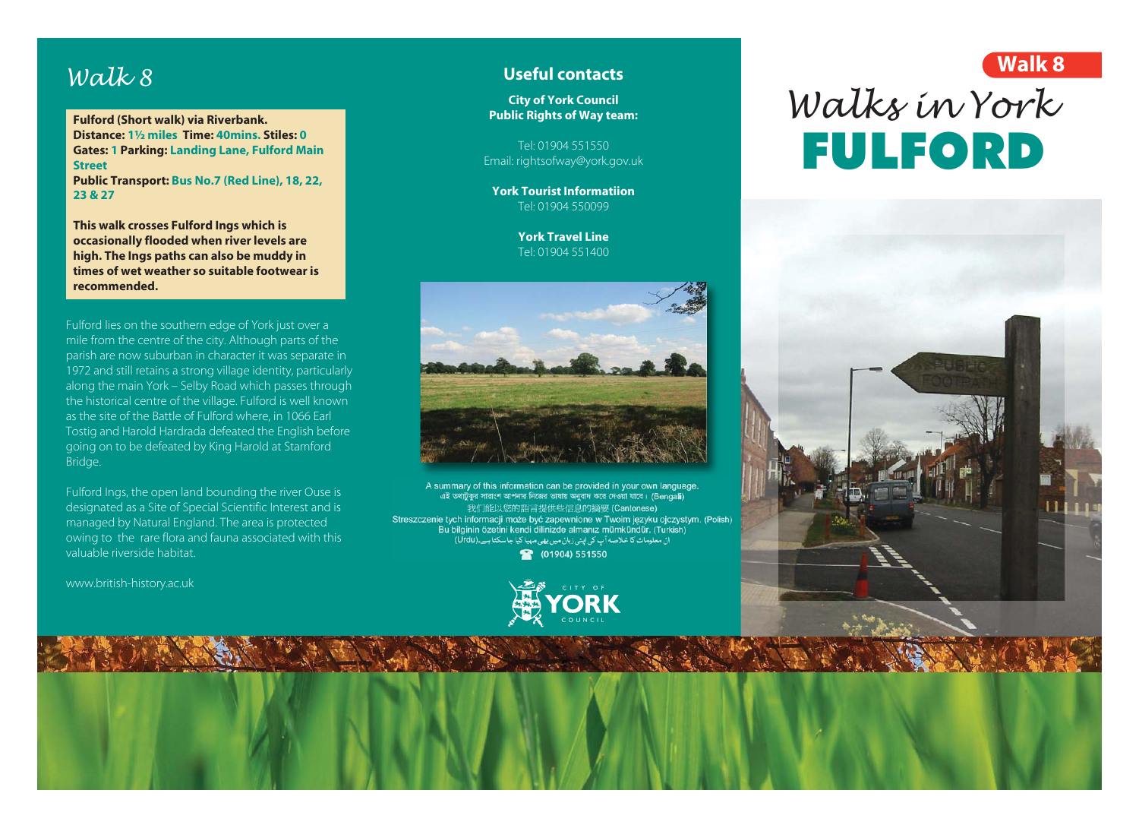## *Walk 8*

**Fulford (Short walk) via Riverbank. Distance: 1½ miles Time: 40mins. Stiles: 0 Gates: 1 Parking: Landing Lane, Fulford Main Street Public Transport: Bus No.7 (Red Line), 18, 22, 23 & 27**

**This walk crosses Fulford Ings which is occasionally flooded when river levels are high. The Ings paths can also be muddy in times of wet weather so suitable footwear is recommended.**

Fulford lies on the southern edge of York just over a mile from the centre of the city. Although parts of the parish are now suburban in character it was separate in 1972 and still retains a strong village identity, particularly along the main York – Selby Road which passes through the historical centre of the village. Fulford is well known as the site of the Battle of Fulford where, in 1066 Earl Tostig and Harold Hardrada defeated the English before going on to be defeated by King Harold at Stamford Bridge.

Fulford Ings, the open land bounding the river Ouse is designated as a Site of Special Scientific Interest and is managed by Natural England. The area is protected owing to the rare flora and fauna associated with this valuable riverside habitat.

www.british-history.ac.uk

## **Useful contacts**

**City of York Council Public Rights of Way team:**

Tel: 01904 551550 Email: rightsofway@york.gov.uk

**York Tourist Informatiion** Tel: 01904 550099

> **York Travel Line** Tel: 01904 551400



A summary of this information can be provided in your own language. এই তথ্যটুকুর সারাংশ আপনার নিজের ভাষায় অনুবাদ করে দেওয়া যাবে। (Bengali) Bu bilginin özetini kendi dilinizde almanız mümkündür. (Turkish) ان معلومات کا خلاصه آپ کی اپنی زبان میں بھی مہیا کیا جا سکتا ہے۔(Urdu) (01904) 551550



## *Walks in York* FULFORD **Walk 8**